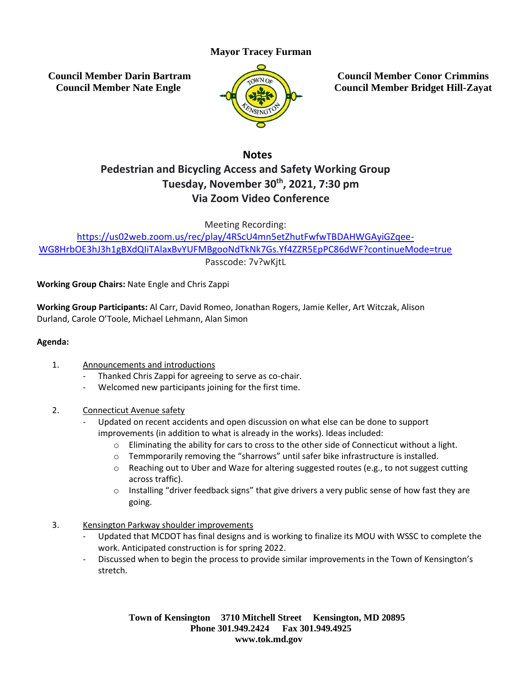## **Mayor Tracey Furman**

**Council Member Darin Bartram Council Member Nate Engle**



**Council Member Conor Crimmins Council Member Bridget Hill-Zayat**

### **Notes**

# **Pedestrian and Bicycling Access and Safety Working Group Tuesday, November 30th, 2021, 7:30 pm Via Zoom Video Conference**

Meeting Recording:

[https://us02web.zoom.us/rec/play/4RScU4mn5etZhutFwfwTBDAHWGAyiGZqee-](https://us02web.zoom.us/rec/play/4RScU4mn5etZhutFwfwTBDAHWGAyiGZqee-WG8HrbOE3hJ3h1gBXdQIiTAlaxBvYUFMBgooNdTkNk7Gs.Yf4ZZR5EpPC86dWF?continueMode=true)[WG8HrbOE3hJ3h1gBXdQIiTAlaxBvYUFMBgooNdTkNk7Gs.Yf4ZZR5EpPC86dWF?continueMode=true](https://us02web.zoom.us/rec/play/4RScU4mn5etZhutFwfwTBDAHWGAyiGZqee-WG8HrbOE3hJ3h1gBXdQIiTAlaxBvYUFMBgooNdTkNk7Gs.Yf4ZZR5EpPC86dWF?continueMode=true) Passcode: 7v?wKjtL

**Working Group Chairs:** Nate Engle and Chris Zappi

**Working Group Participants:** Al Carr, David Romeo, Jonathan Rogers, Jamie Keller, Art Witczak, Alison Durland, Carole O'Toole, Michael Lehmann, Alan Simon

#### **Agenda:**

- 1. Announcements and introductions
	- Thanked Chris Zappi for agreeing to serve as co-chair.
	- Welcomed new participants joining for the first time.
- 2. Connecticut Avenue safety
	- Updated on recent accidents and open discussion on what else can be done to support improvements (in addition to what is already in the works). Ideas included:
		- $\circ$  Eliminating the ability for cars to cross to the other side of Connecticut without a light.
		- $\circ$  Temmporarily removing the "sharrows" until safer bike infrastructure is installed.
		- $\circ$  Reaching out to Uber and Waze for altering suggested routes (e.g., to not suggest cutting across traffic).
		- $\circ$  Installing "driver feedback signs" that give drivers a very public sense of how fast they are going.
- 3. Kensington Parkway shoulder improvements
	- Updated that MCDOT has final designs and is working to finalize its MOU with WSSC to complete the work. Anticipated construction is for spring 2022.
	- Discussed when to begin the process to provide similar improvements in the Town of Kensington's stretch.

**Town of Kensington 3710 Mitchell Street Kensington, MD 20895 Phone 301.949.2424 Fax 301.949.4925 www.tok.md.gov**